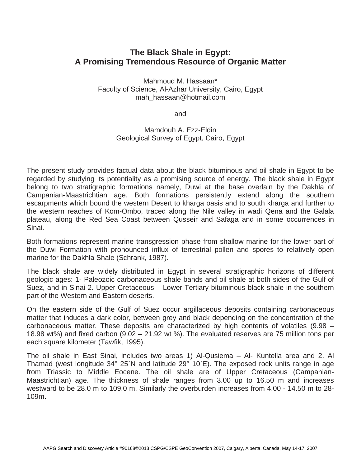## **The Black Shale in Egypt: A Promising Tremendous Resource of Organic Matter**

Mahmoud M. Hassaan\* Faculty of Science, Al-Azhar University, Cairo, Egypt mah\_hassaan@hotmail.com

and

Mamdouh A. Ezz-Eldin Geological Survey of Egypt, Cairo, Egypt

The present study provides factual data about the black bituminous and oil shale in Egypt to be regarded by studying its potentiality as a promising source of energy. The black shale in Egypt belong to two stratigraphic formations namely, Duwi at the base overlain by the Dakhla of Campanian-Maastrichtian age. Both formations persistently extend along the southern escarpments which bound the western Desert to kharga oasis and to south kharga and further to the western reaches of Kom-Ombo, traced along the Nile valley in wadi Qena and the Galala plateau, along the Red Sea Coast between Qusseir and Safaga and in some occurrences in Sinai.

Both formations represent marine transgression phase from shallow marine for the lower part of the Duwi Formation with pronounced influx of terrestrial pollen and spores to relatively open marine for the Dakhla Shale (Schrank, 1987).

The black shale are widely distributed in Egypt in several stratigraphic horizons of different geologic ages: 1- Paleozoic carbonaceous shale bands and oil shale at both sides of the Gulf of Suez, and in Sinai 2. Upper Cretaceous – Lower Tertiary bituminous black shale in the southern part of the Western and Eastern deserts.

On the eastern side of the Gulf of Suez occur argillaceous deposits containing carbonaceous matter that induces a dark color, between grey and black depending on the concentration of the carbonaceous matter. These deposits are characterized by high contents of volatiles (9.98 – 18.98 wt%) and fixed carbon (9.02 – 21.92 wt %). The evaluated reserves are 75 million tons per each square kilometer (Tawfik, 1995).

The oil shale in East Sinai, includes two areas 1) Al-Qusiema – Al- Kuntella area and 2. Al Thamad (west longitude 34° 25`N and latitude 29° 10`E). The exposed rock units range in age from Triassic to Middle Eocene. The oil shale are of Upper Cretaceous (Campanian-Maastrichtian) age. The thickness of shale ranges from 3.00 up to 16.50 m and increases westward to be 28.0 m to 109.0 m. Similarly the overburden increases from 4.00 - 14.50 m to 28- 109m.